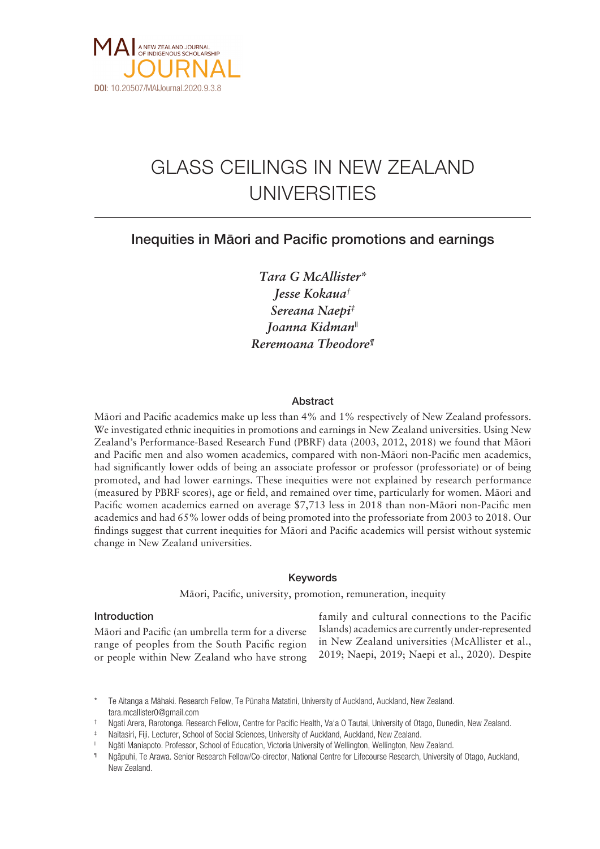

# GLASS CEILINGS IN NEW ZEALAND UNIVERSITIES

# Inequities in Mäori and Pacific promotions and earnings

*Tara G McAllister\* Jesse Kokaua† Sereana Naepi‡ Joanna Kidman|| Reremoana Theodore¶*

## Abstract

Mäori and Pacific academics make up less than 4% and 1% respectively of New Zealand professors. We investigated ethnic inequities in promotions and earnings in New Zealand universities. Using New Zealand's Performance-Based Research Fund (PBRF) data (2003, 2012, 2018) we found that Mäori and Pacific men and also women academics, compared with non-Mäori non-Pacific men academics, had significantly lower odds of being an associate professor or professor (professoriate) or of being promoted, and had lower earnings. These inequities were not explained by research performance (measured by PBRF scores), age or field, and remained over time, particularly for women. Mäori and Pacific women academics earned on average \$7,713 less in 2018 than non-Mäori non-Pacific men academics and had 65% lower odds of being promoted into the professoriate from 2003 to 2018. Our findings suggest that current inequities for Mäori and Pacific academics will persist without systemic change in New Zealand universities.

# Keywords

Mäori, Pacific, university, promotion, remuneration, inequity

# Introduction

Mäori and Pacific (an umbrella term for a diverse range of peoples from the South Pacific region or people within New Zealand who have strong

family and cultural connections to the Pacific Islands) academics are currently under-represented in New Zealand universities (McAllister et al., 2019; Naepi, 2019; Naepi et al., 2020). Despite

- † Ngati Arera, Rarotonga. Research Fellow, Centre for Pacific Health, Va'a O Tautai, University of Otago, Dunedin, New Zealand.
- Naitasiri, Fiji. Lecturer, School of Social Sciences, University of Auckland, Auckland, New Zealand. |<br>Ngāti Maniapoto. Professor, School of Education, Victoria University of Wellington, Wellington, New Zealand.
- 
- Ngāpuhi, Te Arawa. Senior Research Fellow/Co-director, National Centre for Lifecourse Research, University of Otago, Auckland, New Zealand.

<sup>\*</sup> Te Aitanga a Mähaki. Research Fellow, Te Pünaha Matatini, University of Auckland, Auckland, New Zealand. tara.mcallister0@gmail.com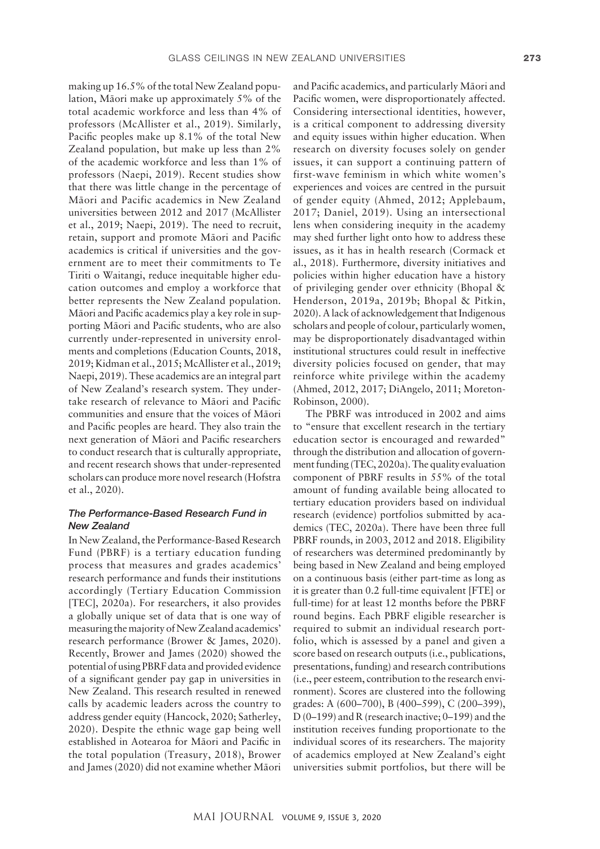making up 16.5% of the total New Zealand population, Mäori make up approximately 5% of the total academic workforce and less than 4% of professors (McAllister et al., 2019). Similarly, Pacific peoples make up 8.1% of the total New Zealand population, but make up less than 2% of the academic workforce and less than 1% of professors (Naepi, 2019). Recent studies show that there was little change in the percentage of Mäori and Pacific academics in New Zealand universities between 2012 and 2017 (McAllister et al., 2019; Naepi, 2019). The need to recruit, retain, support and promote Mäori and Pacific academics is critical if universities and the government are to meet their commitments to Te Tiriti o Waitangi, reduce inequitable higher education outcomes and employ a workforce that better represents the New Zealand population. Mäori and Pacific academics play a key role in supporting Mäori and Pacific students, who are also currently under-represented in university enrolments and completions (Education Counts, 2018, 2019; Kidman et al., 2015; McAllister et al., 2019; Naepi, 2019). These academics are an integral part of New Zealand's research system. They undertake research of relevance to Mäori and Pacific communities and ensure that the voices of Mäori and Pacific peoples are heard. They also train the next generation of Mäori and Pacific researchers to conduct research that is culturally appropriate, and recent research shows that under-represented scholars can produce more novel research (Hofstra et al., 2020).

# *The Performance-Based Research Fund in New Zealand*

In New Zealand, the Performance-Based Research Fund (PBRF) is a tertiary education funding process that measures and grades academics' research performance and funds their institutions accordingly (Tertiary Education Commission [TEC], 2020a). For researchers, it also provides a globally unique set of data that is one way of measuring the majority of New Zealand academics' research performance (Brower & James, 2020). Recently, Brower and James (2020) showed the potential of using PBRF data and provided evidence of a significant gender pay gap in universities in New Zealand. This research resulted in renewed calls by academic leaders across the country to address gender equity (Hancock, 2020; Satherley, 2020). Despite the ethnic wage gap being well established in Aotearoa for Mäori and Pacific in the total population (Treasury, 2018), Brower and James (2020) did not examine whether Mäori

and Pacific academics, and particularly Mäori and Pacific women, were disproportionately affected. Considering intersectional identities, however, is a critical component to addressing diversity and equity issues within higher education. When research on diversity focuses solely on gender issues, it can support a continuing pattern of first-wave feminism in which white women's experiences and voices are centred in the pursuit of gender equity (Ahmed, 2012; Applebaum, 2017; Daniel, 2019). Using an intersectional lens when considering inequity in the academy may shed further light onto how to address these issues, as it has in health research (Cormack et al., 2018). Furthermore, diversity initiatives and policies within higher education have a history of privileging gender over ethnicity (Bhopal & Henderson, 2019a, 2019b; Bhopal & Pitkin, 2020). A lack of acknowledgement that Indigenous scholars and people of colour, particularly women, may be disproportionately disadvantaged within institutional structures could result in ineffective diversity policies focused on gender, that may reinforce white privilege within the academy (Ahmed, 2012, 2017; DiAngelo, 2011; Moreton-Robinson, 2000).

The PBRF was introduced in 2002 and aims to "ensure that excellent research in the tertiary education sector is encouraged and rewarded" through the distribution and allocation of government funding (TEC, 2020a). The quality evaluation component of PBRF results in 55% of the total amount of funding available being allocated to tertiary education providers based on individual research (evidence) portfolios submitted by academics (TEC, 2020a). There have been three full PBRF rounds, in 2003, 2012 and 2018. Eligibility of researchers was determined predominantly by being based in New Zealand and being employed on a continuous basis (either part-time as long as it is greater than 0.2 full-time equivalent [FTE] or full-time) for at least 12 months before the PBRF round begins. Each PBRF eligible researcher is required to submit an individual research portfolio, which is assessed by a panel and given a score based on research outputs (i.e., publications, presentations, funding) and research contributions (i.e., peer esteem, contribution to the research environment). Scores are clustered into the following grades: A (600–700), B (400–599), C (200–399), D (0–199) and R (research inactive; 0–199) and the institution receives funding proportionate to the individual scores of its researchers. The majority of academics employed at New Zealand's eight universities submit portfolios, but there will be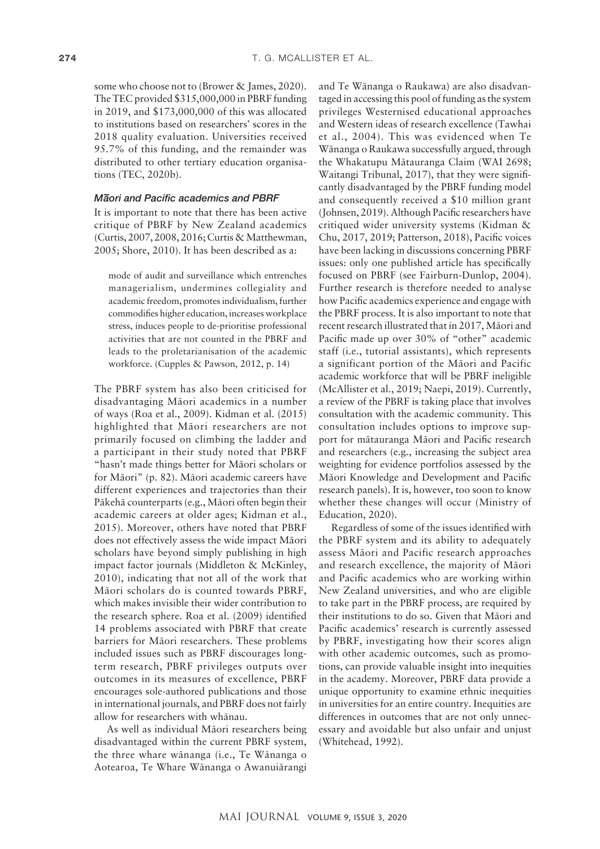some who choose not to (Brower & James, 2020). The TEC provided \$315,000,000 in PBRF funding in 2019, and \$173,000,000 of this was allocated to institutions based on researchers' scores in the 2018 quality evaluation. Universities received 95.7% of this funding, and the remainder was distributed to other tertiary education organisations (TEC, 2020b).

# *M– aori and Pacific academics and PBRF*

It is important to note that there has been active critique of PBRF by New Zealand academics (Curtis, 2007, 2008, 2016; Curtis & Matthewman, 2005; Shore, 2010). It has been described as a:

mode of audit and surveillance which entrenches managerialism, undermines collegiality and academic freedom, promotes individualism, further commodifies higher education, increases workplace stress, induces people to de-prioritise professional activities that are not counted in the PBRF and leads to the proletarianisation of the academic workforce. (Cupples & Pawson, 2012, p. 14)

The PBRF system has also been criticised for disadvantaging Mäori academics in a number of ways (Roa et al., 2009). Kidman et al. (2015) highlighted that Mäori researchers are not primarily focused on climbing the ladder and a participant in their study noted that PBRF "hasn't made things better for Mäori scholars or for Mäori" (p. 82). Mäori academic careers have different experiences and trajectories than their Päkehä counterparts (e.g., Mäori often begin their academic careers at older ages; Kidman et al., 2015). Moreover, others have noted that PBRF does not effectively assess the wide impact Mäori scholars have beyond simply publishing in high impact factor journals (Middleton & McKinley, 2010), indicating that not all of the work that Mäori scholars do is counted towards PBRF, which makes invisible their wider contribution to the research sphere. Roa et al. (2009) identified 14 problems associated with PBRF that create barriers for Mäori researchers. These problems included issues such as PBRF discourages longterm research, PBRF privileges outputs over outcomes in its measures of excellence, PBRF encourages sole-authored publications and those in international journals, and PBRF does not fairly allow for researchers with whänau.

As well as individual Mäori researchers being disadvantaged within the current PBRF system, the three whare wänanga (i.e., Te Wänanga o Aotearoa, Te Whare Wänanga o Awanuiärangi

and Te Wänanga o Raukawa) are also disadvantaged in accessing this pool of funding as the system privileges Westernised educational approaches and Western ideas of research excellence (Tawhai et al., 2004). This was evidenced when Te Wänanga o Raukawa successfully argued, through the Whakatupu Mätauranga Claim (WAI 2698; Waitangi Tribunal, 2017), that they were significantly disadvantaged by the PBRF funding model and consequently received a \$10 million grant (Johnsen, 2019). Although Pacific researchers have critiqued wider university systems (Kidman & Chu, 2017, 2019; Patterson, 2018), Pacific voices have been lacking in discussions concerning PBRF issues: only one published article has specifically focused on PBRF (see Fairburn-Dunlop, 2004). Further research is therefore needed to analyse how Pacific academics experience and engage with the PBRF process. It is also important to note that recent research illustrated that in 2017, Mäori and Pacific made up over 30% of "other" academic staff (i.e., tutorial assistants), which represents a significant portion of the Mäori and Pacific academic workforce that will be PBRF ineligible (McAllister et al., 2019; Naepi, 2019). Currently, a review of the PBRF is taking place that involves consultation with the academic community. This consultation includes options to improve support for mätauranga Mäori and Pacific research and researchers (e.g., increasing the subject area weighting for evidence portfolios assessed by the Mäori Knowledge and Development and Pacific research panels). It is, however, too soon to know whether these changes will occur (Ministry of Education, 2020).

Regardless of some of the issues identified with the PBRF system and its ability to adequately assess Mäori and Pacific research approaches and research excellence, the majority of Mäori and Pacific academics who are working within New Zealand universities, and who are eligible to take part in the PBRF process, are required by their institutions to do so. Given that Mäori and Pacific academics' research is currently assessed by PBRF, investigating how their scores align with other academic outcomes, such as promotions, can provide valuable insight into inequities in the academy. Moreover, PBRF data provide a unique opportunity to examine ethnic inequities in universities for an entire country. Inequities are differences in outcomes that are not only unnecessary and avoidable but also unfair and unjust (Whitehead, 1992).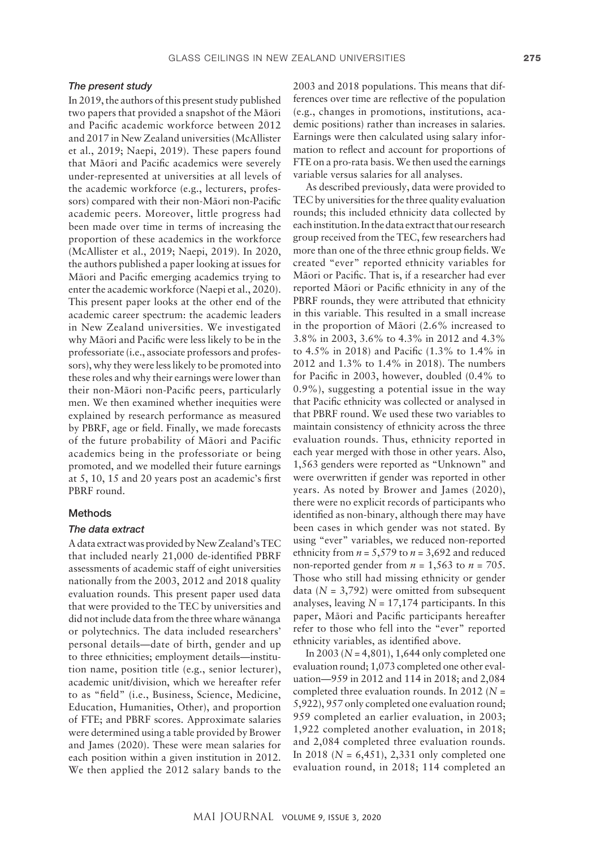#### *The present study*

In 2019, the authors of this present study published two papers that provided a snapshot of the Mäori and Pacific academic workforce between 2012 and 2017 in New Zealand universities (McAllister et al., 2019; Naepi, 2019). These papers found that Mäori and Pacific academics were severely under-represented at universities at all levels of the academic workforce (e.g., lecturers, professors) compared with their non-Mäori non-Pacific academic peers. Moreover, little progress had been made over time in terms of increasing the proportion of these academics in the workforce (McAllister et al., 2019; Naepi, 2019). In 2020, the authors published a paper looking at issues for Mäori and Pacific emerging academics trying to enter the academic workforce (Naepi et al., 2020). This present paper looks at the other end of the academic career spectrum: the academic leaders in New Zealand universities. We investigated why Mäori and Pacific were less likely to be in the professoriate (i.e., associate professors and professors), why they were less likely to be promoted into these roles and why their earnings were lower than their non-Mäori non-Pacific peers, particularly men. We then examined whether inequities were explained by research performance as measured by PBRF, age or field. Finally, we made forecasts of the future probability of Mäori and Pacific academics being in the professoriate or being promoted, and we modelled their future earnings at 5, 10, 15 and 20 years post an academic's first PBRF round.

## Methods

#### *The data extract*

A data extract was provided by New Zealand's TEC that included nearly 21,000 de-identified PBRF assessments of academic staff of eight universities nationally from the 2003, 2012 and 2018 quality evaluation rounds. This present paper used data that were provided to the TEC by universities and did not include data from the three whare wänanga or polytechnics. The data included researchers' personal details—date of birth, gender and up to three ethnicities; employment details—institution name, position title (e.g., senior lecturer), academic unit/division, which we hereafter refer to as "field" (i.e., Business, Science, Medicine, Education, Humanities, Other), and proportion of FTE; and PBRF scores. Approximate salaries were determined using a table provided by Brower and James (2020). These were mean salaries for each position within a given institution in 2012. We then applied the 2012 salary bands to the

2003 and 2018 populations. This means that differences over time are reflective of the population (e.g., changes in promotions, institutions, academic positions) rather than increases in salaries. Earnings were then calculated using salary information to reflect and account for proportions of FTE on a pro-rata basis. We then used the earnings variable versus salaries for all analyses.

As described previously, data were provided to TEC by universities for the three quality evaluation rounds; this included ethnicity data collected by each institution. In the data extract that our research group received from the TEC, few researchers had more than one of the three ethnic group fields. We created "ever" reported ethnicity variables for Mäori or Pacific. That is, if a researcher had ever reported Mäori or Pacific ethnicity in any of the PBRF rounds, they were attributed that ethnicity in this variable. This resulted in a small increase in the proportion of Mäori (2.6% increased to 3.8% in 2003, 3.6% to 4.3% in 2012 and 4.3% to 4.5% in 2018) and Pacific (1.3% to 1.4% in 2012 and 1.3% to 1.4% in 2018). The numbers for Pacific in 2003, however, doubled (0.4% to 0.9%), suggesting a potential issue in the way that Pacific ethnicity was collected or analysed in that PBRF round. We used these two variables to maintain consistency of ethnicity across the three evaluation rounds. Thus, ethnicity reported in each year merged with those in other years. Also, 1,563 genders were reported as "Unknown" and were overwritten if gender was reported in other years. As noted by Brower and James (2020), there were no explicit records of participants who identified as non-binary, although there may have been cases in which gender was not stated. By using "ever" variables, we reduced non-reported ethnicity from  $n = 5,579$  to  $n = 3,692$  and reduced non-reported gender from  $n = 1,563$  to  $n = 705$ . Those who still had missing ethnicity or gender data  $(N = 3,792)$  were omitted from subsequent analyses, leaving  $N = 17,174$  participants. In this paper, Mäori and Pacific participants hereafter refer to those who fell into the "ever" reported ethnicity variables, as identified above.

In 2003 (*N* = 4,801), 1,644 only completed one evaluation round; 1,073 completed one other evaluation—959 in 2012 and 114 in 2018; and 2,084 completed three evaluation rounds. In 2012 (*N* = 5,922), 957 only completed one evaluation round; 959 completed an earlier evaluation, in 2003; 1,922 completed another evaluation, in 2018; and 2,084 completed three evaluation rounds. In 2018 (*N* = 6,451), 2,331 only completed one evaluation round, in 2018; 114 completed an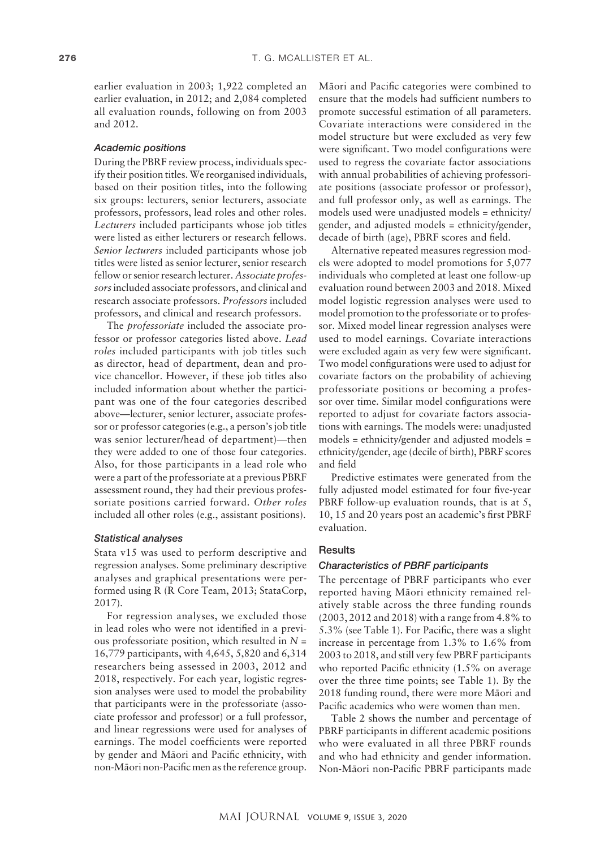earlier evaluation in 2003; 1,922 completed an earlier evaluation, in 2012; and 2,084 completed all evaluation rounds, following on from 2003 and 2012.

## *Academic positions*

During the PBRF review process, individuals specify their position titles. We reorganised individuals, based on their position titles, into the following six groups: lecturers, senior lecturers, associate professors, professors, lead roles and other roles. *Lecturers* included participants whose job titles were listed as either lecturers or research fellows. *Senior lecturers* included participants whose job titles were listed as senior lecturer, senior research fellow or senior research lecturer. *Associate professors* included associate professors, and clinical and research associate professors. *Professors* included professors, and clinical and research professors.

The *professoriate* included the associate professor or professor categories listed above. *Lead roles* included participants with job titles such as director, head of department, dean and provice chancellor. However, if these job titles also included information about whether the participant was one of the four categories described above—lecturer, senior lecturer, associate professor or professor categories (e.g., a person's job title was senior lecturer/head of department)—then they were added to one of those four categories. Also, for those participants in a lead role who were a part of the professoriate at a previous PBRF assessment round, they had their previous professoriate positions carried forward. *Other roles* included all other roles (e.g., assistant positions).

#### *Statistical analyses*

Stata v15 was used to perform descriptive and regression analyses. Some preliminary descriptive analyses and graphical presentations were performed using R (R Core Team, 2013; StataCorp, 2017).

For regression analyses, we excluded those in lead roles who were not identified in a previous professoriate position, which resulted in *N* = 16,779 participants, with 4,645, 5,820 and 6,314 researchers being assessed in 2003, 2012 and 2018, respectively. For each year, logistic regression analyses were used to model the probability that participants were in the professoriate (associate professor and professor) or a full professor, and linear regressions were used for analyses of earnings. The model coefficients were reported by gender and Mäori and Pacific ethnicity, with non-Mäori non-Pacific men as the reference group.

Mäori and Pacific categories were combined to ensure that the models had sufficient numbers to promote successful estimation of all parameters. Covariate interactions were considered in the model structure but were excluded as very few were significant. Two model configurations were used to regress the covariate factor associations with annual probabilities of achieving professoriate positions (associate professor or professor), and full professor only, as well as earnings. The models used were unadjusted models = ethnicity/ gender, and adjusted models = ethnicity/gender, decade of birth (age), PBRF scores and field.

Alternative repeated measures regression models were adopted to model promotions for 5,077 individuals who completed at least one follow-up evaluation round between 2003 and 2018. Mixed model logistic regression analyses were used to model promotion to the professoriate or to professor. Mixed model linear regression analyses were used to model earnings. Covariate interactions were excluded again as very few were significant. Two model configurations were used to adjust for covariate factors on the probability of achieving professoriate positions or becoming a professor over time. Similar model configurations were reported to adjust for covariate factors associations with earnings. The models were: unadjusted models = ethnicity/gender and adjusted models = ethnicity/gender, age (decile of birth), PBRF scores and field

Predictive estimates were generated from the fully adjusted model estimated for four five-year PBRF follow-up evaluation rounds, that is at 5, 10, 15 and 20 years post an academic's first PBRF evaluation.

## **Results**

#### *Characteristics of PBRF participants*

The percentage of PBRF participants who ever reported having Mäori ethnicity remained relatively stable across the three funding rounds (2003, 2012 and 2018) with a range from 4.8% to 5.3% (see Table 1). For Pacific, there was a slight increase in percentage from 1.3% to 1.6% from 2003 to 2018, and still very few PBRF participants who reported Pacific ethnicity (1.5% on average over the three time points; see Table 1). By the 2018 funding round, there were more Mäori and Pacific academics who were women than men.

Table 2 shows the number and percentage of PBRF participants in different academic positions who were evaluated in all three PBRF rounds and who had ethnicity and gender information. Non-Mäori non-Pacific PBRF participants made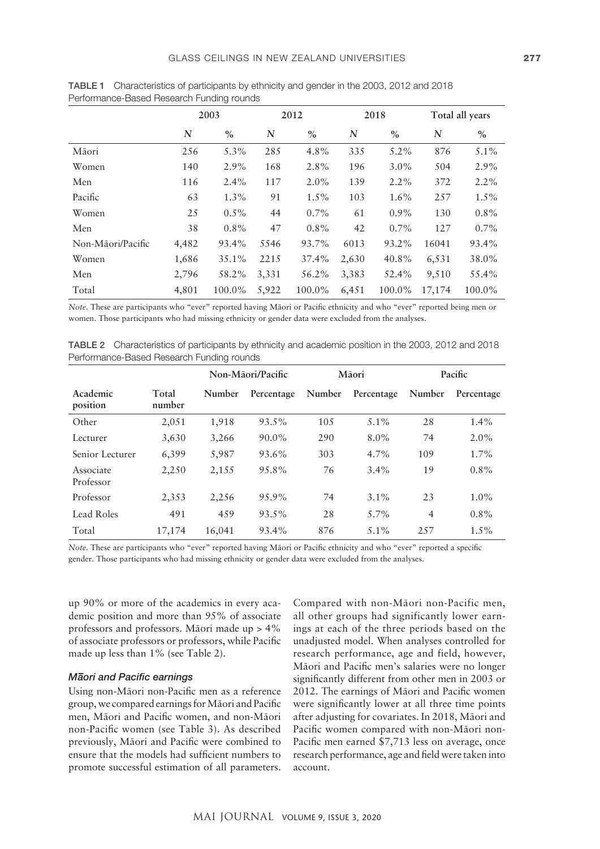|                   | 2003  |          |       | 2012    |       | 2018    |        | Total all years |  |
|-------------------|-------|----------|-------|---------|-------|---------|--------|-----------------|--|
|                   | N     | $\%$     | N     | $\%$    | N     | $\%$    | N      | $\%$            |  |
| Māori             | 256   | 5.3%     | 285   | 4.8%    | 335   | $5.2\%$ | 876    | $5.1\%$         |  |
| Women             | 140   | $2.9\%$  | 168   | 2.8%    | 196   | $3.0\%$ | 504    | $2.9\%$         |  |
| Men               | 116   | $2.4\%$  | 117   | $2.0\%$ | 139   | $2.2\%$ | 372    | $2.2\%$         |  |
| Pacific           | 63    | $1.3\%$  | 91    | $1.5\%$ | 103   | $1.6\%$ | 257    | $1.5\%$         |  |
| Women             | 25    | $0.5\%$  | 44    | $0.7\%$ | 61    | $0.9\%$ | 130    | $0.8\%$         |  |
| Men               | 38    | $0.8\%$  | 47    | $0.8\%$ | 42    | $0.7\%$ | 127    | $0.7\%$         |  |
| Non-Māori/Pacific | 4,482 | 93.4%    | 5546  | 93.7%   | 6013  | 93.2%   | 16041  | 93.4%           |  |
| Women             | 1,686 | $35.1\%$ | 2215  | 37.4%   | 2,630 | 40.8%   | 6,531  | 38.0%           |  |
| Men               | 2,796 | 58.2%    | 3,331 | 56.2%   | 3,383 | 52.4%   | 9,510  | 55.4%           |  |
| Total             | 4,801 | 100.0%   | 5,922 | 100.0%  | 6,451 | 100.0%  | 17,174 | 100.0%          |  |

TABLE 1 Characteristics of participants by ethnicity and gender in the 2003, 2012 and 2018 Performance-Based Research Funding rounds

*Note.* These are participants who "ever" reported having Mäori or Pacific ethnicity and who "ever" reported being men or women. Those participants who had missing ethnicity or gender data were excluded from the analyses.

TABLE 2 Characteristics of participants by ethnicity and academic position in the 2003, 2012 and 2018 Performance-Based Research Funding rounds

|                        |                 | Non-Māori/Pacific |            | Māori  |            | Pacific        |            |
|------------------------|-----------------|-------------------|------------|--------|------------|----------------|------------|
| Academic<br>position   | Total<br>number | Number            | Percentage | Number | Percentage | Number         | Percentage |
| Other                  | 2,051           | 1,918             | $93.5\%$   | 105    | $5.1\%$    | 28             | $1.4\%$    |
| Lecturer               | 3,630           | 3,266             | $90.0\%$   | 290    | $8.0\%$    | 74             | $2.0\%$    |
| Senior Lecturer        | 6,399           | 5,987             | 93.6%      | 303    | $4.7\%$    | 109            | $1.7\%$    |
| Associate<br>Professor | 2,250           | 2,155             | 95.8%      | 76     | $3.4\%$    | 19             | $0.8\%$    |
| Professor              | 2,353           | 2,256             | 95.9%      | 74     | $3.1\%$    | 23             | $1.0\%$    |
| Lead Roles             | 491             | 459               | 93.5%      | 28     | $5.7\%$    | $\overline{4}$ | $0.8\%$    |
| Total                  | 17,174          | 16,041            | 93.4%      | 876    | $5.1\%$    | 2.57           | $1.5\%$    |

*Note.* These are participants who "ever" reported having Mäori or Pacific ethnicity and who "ever" reported a specific gender. Those participants who had missing ethnicity or gender data were excluded from the analyses.

up 90% or more of the academics in every academic position and more than 95% of associate professors and professors. Mäori made up > 4% of associate professors or professors, while Pacific made up less than 1% (see Table 2).

# *M– aori and Pacific earnings*

Using non-Mäori non-Pacific men as a reference group, we compared earnings for Mäori and Pacific men, Mäori and Pacific women, and non-Mäori non-Pacific women (see Table 3). As described previously, Mäori and Pacific were combined to ensure that the models had sufficient numbers to promote successful estimation of all parameters.

Compared with non-Mäori non-Pacific men, all other groups had significantly lower earnings at each of the three periods based on the unadjusted model. When analyses controlled for research performance, age and field, however, Mäori and Pacific men's salaries were no longer significantly different from other men in 2003 or 2012. The earnings of Mäori and Pacific women were significantly lower at all three time points after adjusting for covariates. In 2018, Mäori and Pacific women compared with non-Mäori non-Pacific men earned \$7,713 less on average, once research performance, age and field were taken into account.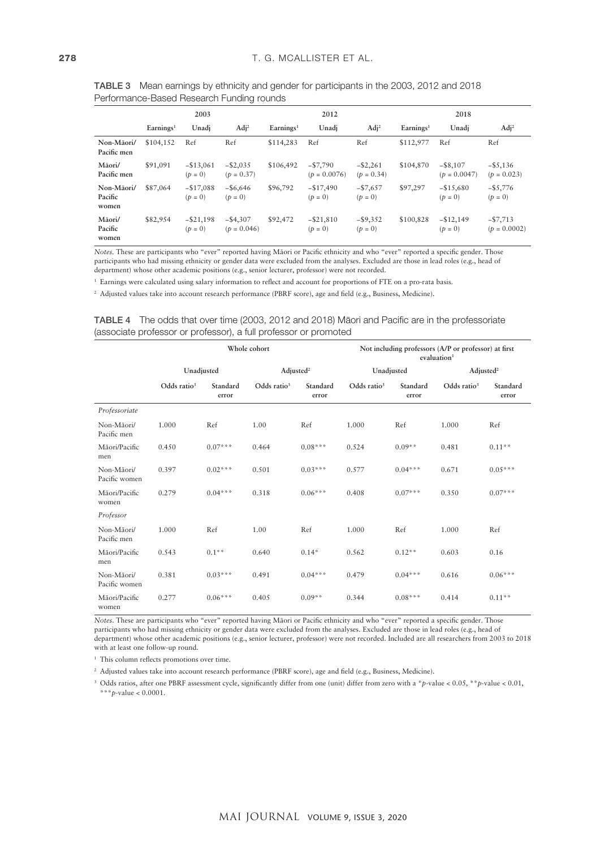|                                | 2003                  |                           |                              | 2012                  |                              |                             | 2018                  |                               |                              |
|--------------------------------|-----------------------|---------------------------|------------------------------|-----------------------|------------------------------|-----------------------------|-----------------------|-------------------------------|------------------------------|
|                                | Earnines <sup>1</sup> | Unadi                     | $\text{Adj}^2$               | Earnings <sup>1</sup> | Unadi                        | $\text{Adj}^2$              | Earnines <sup>1</sup> | Unadi                         | $\text{Adj}^2$               |
| Non-Māori/<br>Pacific men      | \$104,152             | Ref                       | Ref                          | \$114,283             | Ref                          | Ref                         | \$112,977             | Ref                           | Ref                          |
| Māori/<br>Pacific men          | \$91,091              | $-$ \$13,061<br>$(p = 0)$ | $-$ \$2,035<br>$(p = 0.37)$  | \$106,492             | $- $7,790$<br>$(p = 0.0076)$ | $-$ \$2,261<br>$(p = 0.34)$ | \$104,870             | $-$ \$8,107<br>$(p = 0.0047)$ | $-$ \$5,136<br>$(p = 0.023)$ |
| Non-Māori/<br>Pacific<br>women | \$87,064              | $-$17,088$<br>$(p = 0)$   | $-$ \$6,646<br>$(p = 0)$     | \$96,792              | $-$ \$17,490<br>$(p = 0)$    | $-57,657$<br>$(p = 0)$      | \$97,297              | $-$ \$15,680<br>$(p = 0)$     | $-$ \$5,776<br>$(p = 0)$     |
| Māori/<br>Pacific<br>women     | \$82,954              | $-$ \$21,198<br>$(p = 0)$ | $-$ \$4,307<br>$(p = 0.046)$ | \$92,472              | $-$ \$21,810<br>$(p = 0)$    | $-$ \$9,352<br>$(p = 0)$    | \$100,828             | $-$ \$12,149<br>$(p = 0)$     | $- $7,713$<br>$(p = 0.0002)$ |

TABLE 3 Mean earnings by ethnicity and gender for participants in the 2003, 2012 and 2018 Performance-Based Research Funding rounds

*Notes.* These are participants who "ever" reported having Mäori or Pacific ethnicity and who "ever" reported a specific gender. Those participants who had missing ethnicity or gender data were excluded from the analyses. Excluded are those in lead roles (e.g., head of department) whose other academic positions (e.g., senior lecturer, professor) were not recorded.

<sup>1</sup> Earnings were calculated using salary information to reflect and account for proportions of FTE on a pro-rata basis.

<sup>2</sup> Adjusted values take into account research performance (PBRF score), age and field (e.g., Business, Medicine).

|                                                                  | <b>TABLE 4</b> The odds that over time (2003, 2012 and 2018) Maori and Pacific are in the professoriate |
|------------------------------------------------------------------|---------------------------------------------------------------------------------------------------------|
| (associate professor or professor), a full professor or promoted |                                                                                                         |

|                             |                |                   | Whole cohort          |                   | Not including professors (A/P or professor) at first<br>evaluation <sup>1</sup> |                   |                       |                   |
|-----------------------------|----------------|-------------------|-----------------------|-------------------|---------------------------------------------------------------------------------|-------------------|-----------------------|-------------------|
|                             | Unadjusted     |                   | Adjusted <sup>2</sup> |                   | Unadjusted                                                                      |                   | Adjusted <sup>2</sup> |                   |
|                             | Odds ratio $3$ | Standard<br>error | Odds ratio $3$        | Standard<br>error | Odds ratio <sup>3</sup>                                                         | Standard<br>error | Odds ratio $3$        | Standard<br>error |
| Professoriate               |                |                   |                       |                   |                                                                                 |                   |                       |                   |
| Non-Māori/<br>Pacific men   | 1.000          | Ref               | 1.00                  | Ref               | 1.000                                                                           | Ref               | 1.000                 | Ref               |
| Māori/Pacific<br>men        | 0.450          | $0.07***$         | 0.464                 | $0.08***$         | 0.524                                                                           | $0.09**$          | 0.481                 | $0.11**$          |
| Non-Māori/<br>Pacific women | 0.397          | $0.02***$         | 0.501                 | $0.03***$         | 0.577                                                                           | $0.04***$         | 0.671                 | $0.05***$         |
| Māori/Pacific<br>women      | 0.279          | $0.04***$         | 0.318                 | $0.06***$         | 0.408                                                                           | $0.07***$         | 0.350                 | $0.07***$         |
| Professor                   |                |                   |                       |                   |                                                                                 |                   |                       |                   |
| Non-Māori/<br>Pacific men   | 1.000          | Ref               | 1.00                  | Ref               | 1.000                                                                           | Ref               | 1.000                 | Ref               |
| Māori/Pacific<br>men        | 0.543          | $0.1**$           | 0.640                 | $0.14*$           | 0.562                                                                           | $0.12**$          | 0.603                 | 0.16              |
| Non-Māori/<br>Pacific women | 0.381          | $0.03***$         | 0.491                 | $0.04***$         | 0.479                                                                           | $0.04***$         | 0.616                 | $0.06***$         |
| Māori/Pacific<br>women      | 0.277          | $0.06***$         | 0.405                 | $0.09**$          | 0.344                                                                           | $0.08***$         | 0.414                 | $0.11**$          |

*Notes*. These are participants who "ever" reported having Mäori or Pacific ethnicity and who "ever" reported a specific gender. Those participants who had missing ethnicity or gender data were excluded from the analyses. Excluded are those in lead roles (e.g., head of department) whose other academic positions (e.g., senior lecturer, professor) were not recorded. Included are all researchers from 2003 to 2018 with at least one follow-up round.

<sup>1</sup> This column reflects promotions over time.

<sup>2</sup> Adjusted values take into account research performance (PBRF score), age and field (e.g., Business, Medicine).

<sup>3</sup> Odds ratios, after one PBRF assessment cycle, significantly differ from one (unit) differ from zero with a \**p*-value < 0.05, \*\**p*-value < 0.01, \*\*\**p*-value < 0.0001.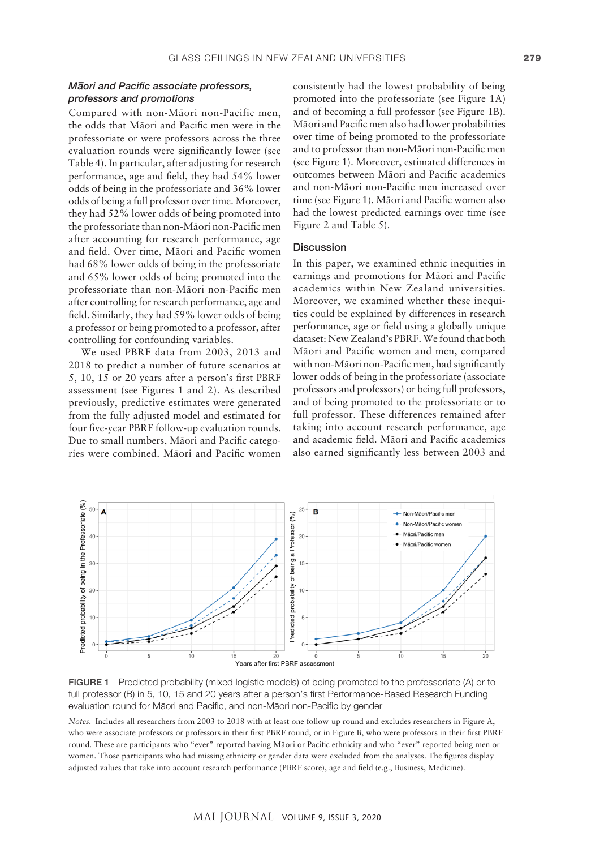# *M– aori and Pacific associate professors, professors and promotions*

Compared with non-Mäori non-Pacific men, the odds that Mäori and Pacific men were in the professoriate or were professors across the three evaluation rounds were significantly lower (see Table 4). In particular, after adjusting for research performance, age and field, they had 54% lower odds of being in the professoriate and 36% lower odds of being a full professor over time. Moreover, they had 52% lower odds of being promoted into the professoriate than non-Mäori non-Pacific men after accounting for research performance, age and field. Over time, Mäori and Pacific women had 68% lower odds of being in the professoriate and 65% lower odds of being promoted into the professoriate than non-Mäori non-Pacific men after controlling for research performance, age and field. Similarly, they had 59% lower odds of being a professor or being promoted to a professor, after controlling for confounding variables.

We used PBRF data from 2003, 2013 and 2018 to predict a number of future scenarios at 5, 10, 15 or 20 years after a person's first PBRF assessment (see Figures 1 and 2). As described previously, predictive estimates were generated from the fully adjusted model and estimated for full professor. These differences remained four five-year PBRF follow-up evaluation rounds. taking into account research per Due to small numbers, Mäori and Pacific categories were combined. Māori and Pacific women also earned significantly less between 200

consistently had the lowest probability of being promoted into the professoriate (see Figure 1A) and of becoming a full professor (see Figure 1B). Mäori and Pacific men also had lower probabilities over time of being promoted to the professoriate and to professor than non-Mäori non-Pacific men (see Figure 1). Moreover, estimated differences in outcomes between Mäori and Pacific academics and non-Mäori non-Pacific men increased over time (see Figure 1). Mäori and Pacific women also had the lowest predicted earnings over time (see Figure 2 and Table 5).

# **Discussion**

In this paper, we examined ethnic inequities in earnings and promotions for Mäori and Pacific academics within New Zealand universities. Moreover, we examined whether these inequities could be explained by differences in research performance, age or field using a globally unique dataset: New Zealand's PBRF. We found that both Mäori and Pacific women and men, compared with non-Mäori non-Pacific men, had significantly lower odds of being in the professoriate (associate professors and professors) or being full professors, and of being promoted to the professoriate or to full professor. These differences remained after taking into account research performance, age and academic field. Mäori and Pacific academics also earned significantly less between 2003 and



**FIGURE 1** Predicted probability (mixed logistic models) of being promoted to the professoriate (A) or to <br>Fill we face and Directed and all second 20 years of the processed start Defenses as Decent Decent Function evaluation round for Māori and Pacific, and non-Māori non-Pacific by gender full professor (B) in 5, 10, 15 and 20 years after a person's first Performance-Based Research Funding

Notes. Includes all researchers from 2003 to 2018 with at least one follow-up round and excludes researchers in Figure A, who were associate professors or professors in their first PBRF round, or in Figure B, who were professors in their first PBRF men or women. Those participants who had missing ethnicity or gender data were excluded women. Those participants who had missing ethnicity or gender data were excluded from the analyses. The figures display adjusted values that take into account research performance (PBRF score), age and field (e.g., Business, Medicine). round. These are participants who "ever" reported having Mäori or Pacific ethnicity and who "ever" reported being men or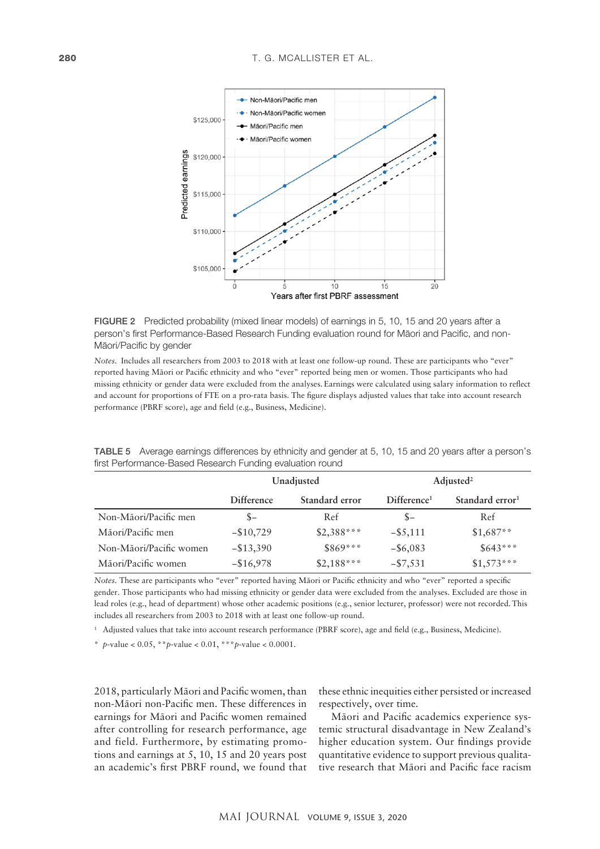



reported having Mäori or Pacific ethnicity and who "ever" reported being men or women. Those participants who had<br>reported having Mäori or Pacific ethnicity and who "ever" reported being men or women. Those participants wh missing ethnicity or gender data were excluded from the analyses. Earnings were calculated using salary information to reflect and account for proportions of FTE on a pro-rata basis. The figure displays adjusted values that take into account research *Notes.* Includes all researchers from 2003 to 2018 with at least one follow-up round. These are participants who "ever" performance (PBRF score), age and field (e.g., Business, Medicine).

|                         |                   | Unadjusted     | $\text{Adjusted}^2$     |                             |  |
|-------------------------|-------------------|----------------|-------------------------|-----------------------------|--|
|                         | <b>Difference</b> | Standard error | Difference <sup>1</sup> | Standard error <sup>1</sup> |  |
| Non-Māori/Pacific men   | $S-$              | Ref            | $S-$                    | Ref                         |  |
| Māori/Pacific men       | $-$10,729$        | $$2,388***$    | $-$ \$5,111             | $$1,687**$                  |  |
| Non-Māori/Pacific women | $-$ \$13,390      | $$869***$      | $-$ \$6,083             | $$643***$                   |  |
| Māori/Pacific women     | $-$ \$16,978      | $$2,188***$    | $-$ \$7,531             | $$1,573***$                 |  |

TABLE 5 Average earnings differences by ethnicity and gender at 5, 10, 15 and 20 years after a person's first Performance-Based Research Funding evaluation round

*Notes.* These are participants who "ever" reported having Mäori or Pacific ethnicity and who "ever" reported a specific gender. Those participants who had missing ethnicity or gender data were excluded from the analyses. Excluded are those in lead roles (e.g., head of department) whose other academic positions (e.g., senior lecturer, professor) were not recorded.This includes all researchers from 2003 to 2018 with at least one follow-up round.

<sup>1</sup> Adjusted values that take into account research performance (PBRF score), age and field (e.g., Business, Medicine).

\* *p*-value < 0.05, \*\**p*-value < 0.01, \*\*\**p*-value < 0.0001.

2018, particularly Mäori and Pacific women, than non-Mäori non-Pacific men. These differences in earnings for Mäori and Pacific women remained after controlling for research performance, age and field. Furthermore, by estimating promotions and earnings at 5, 10, 15 and 20 years post an academic's first PBRF round, we found that

these ethnic inequities either persisted or increased respectively, over time.

Mäori and Pacific academics experience systemic structural disadvantage in New Zealand's higher education system. Our findings provide quantitative evidence to support previous qualitative research that Mäori and Pacific face racism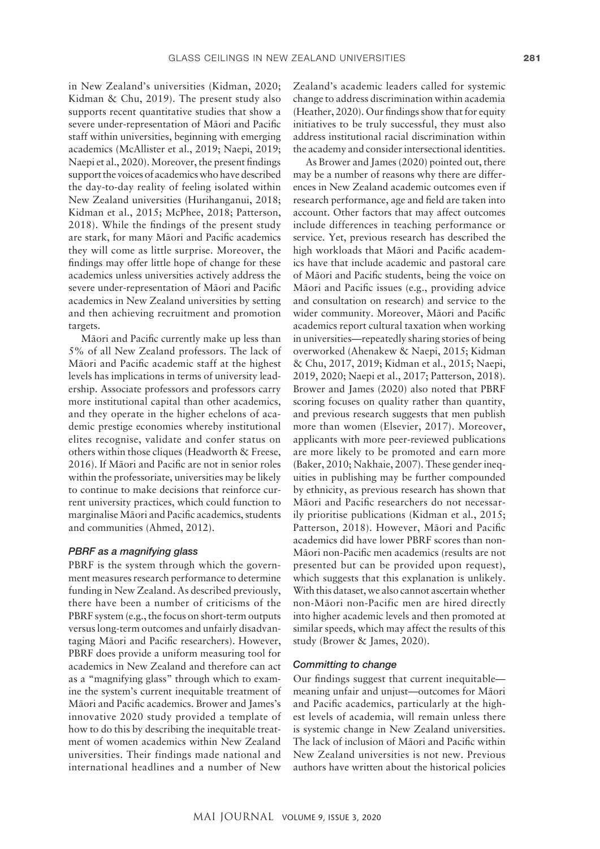in New Zealand's universities (Kidman, 2020; Kidman & Chu, 2019). The present study also supports recent quantitative studies that show a severe under-representation of Mäori and Pacific staff within universities, beginning with emerging academics (McAllister et al., 2019; Naepi, 2019; Naepi et al., 2020). Moreover, the present findings support the voices of academics who have described the day-to-day reality of feeling isolated within New Zealand universities (Hurihanganui, 2018; Kidman et al., 2015; McPhee, 2018; Patterson, 2018). While the findings of the present study are stark, for many Mäori and Pacific academics they will come as little surprise. Moreover, the findings may offer little hope of change for these academics unless universities actively address the severe under-representation of Mäori and Pacific academics in New Zealand universities by setting and then achieving recruitment and promotion targets.

Mäori and Pacific currently make up less than 5% of all New Zealand professors. The lack of Mäori and Pacific academic staff at the highest levels has implications in terms of university leadership. Associate professors and professors carry more institutional capital than other academics, and they operate in the higher echelons of academic prestige economies whereby institutional elites recognise, validate and confer status on others within those cliques (Headworth & Freese, 2016). If Mäori and Pacific are not in senior roles within the professoriate, universities may be likely to continue to make decisions that reinforce current university practices, which could function to marginalise Mäori and Pacific academics, students and communities (Ahmed, 2012).

#### *PBRF as a magnifying glass*

PBRF is the system through which the government measures research performance to determine funding in New Zealand. As described previously, there have been a number of criticisms of the PBRF system (e.g., the focus on short-term outputs versus long-term outcomes and unfairly disadvantaging Mäori and Pacific researchers). However, PBRF does provide a uniform measuring tool for academics in New Zealand and therefore can act as a "magnifying glass" through which to examine the system's current inequitable treatment of Mäori and Pacific academics. Brower and James's innovative 2020 study provided a template of how to do this by describing the inequitable treatment of women academics within New Zealand universities. Their findings made national and international headlines and a number of New Zealand's academic leaders called for systemic change to address discrimination within academia (Heather, 2020). Our findings show that for equity initiatives to be truly successful, they must also address institutional racial discrimination within the academy and consider intersectional identities.

As Brower and James (2020) pointed out, there may be a number of reasons why there are differences in New Zealand academic outcomes even if research performance, age and field are taken into account. Other factors that may affect outcomes include differences in teaching performance or service. Yet, previous research has described the high workloads that Mäori and Pacific academics have that include academic and pastoral care of Mäori and Pacific students, being the voice on Mäori and Pacific issues (e.g., providing advice and consultation on research) and service to the wider community. Moreover, Mäori and Pacific academics report cultural taxation when working in universities—repeatedly sharing stories of being overworked (Ahenakew & Naepi, 2015; Kidman & Chu, 2017, 2019; Kidman et al., 2015; Naepi, 2019, 2020; Naepi et al., 2017; Patterson, 2018). Brower and James (2020) also noted that PBRF scoring focuses on quality rather than quantity, and previous research suggests that men publish more than women (Elsevier, 2017). Moreover, applicants with more peer-reviewed publications are more likely to be promoted and earn more (Baker, 2010; Nakhaie, 2007). These gender inequities in publishing may be further compounded by ethnicity, as previous research has shown that Mäori and Pacific researchers do not necessarily prioritise publications (Kidman et al., 2015; Patterson, 2018). However, Mäori and Pacific academics did have lower PBRF scores than non-Mäori non-Pacific men academics (results are not presented but can be provided upon request), which suggests that this explanation is unlikely. With this dataset, we also cannot ascertain whether non-Mäori non-Pacific men are hired directly into higher academic levels and then promoted at similar speeds, which may affect the results of this study (Brower & James, 2020).

#### *Committing to change*

Our findings suggest that current inequitable meaning unfair and unjust—outcomes for Mäori and Pacific academics, particularly at the highest levels of academia, will remain unless there is systemic change in New Zealand universities. The lack of inclusion of Mäori and Pacific within New Zealand universities is not new. Previous authors have written about the historical policies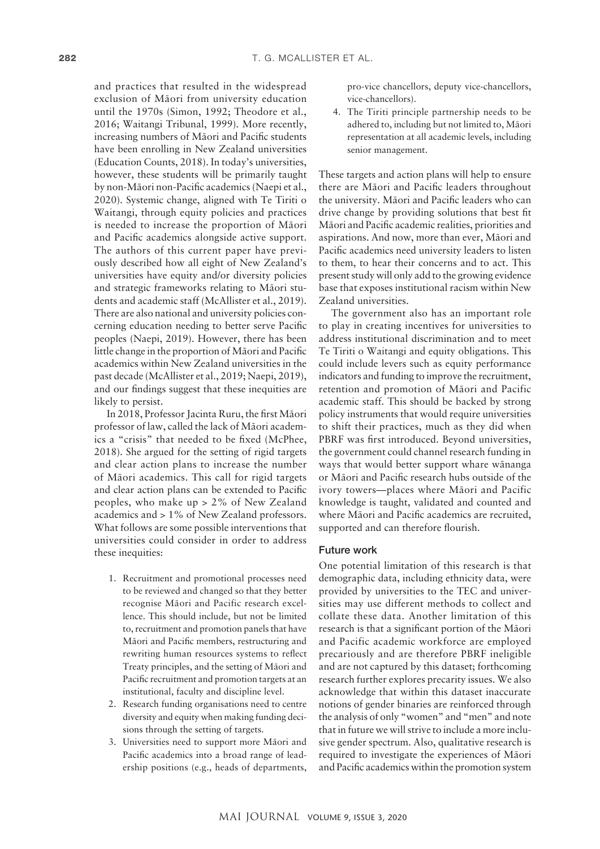and practices that resulted in the widespread exclusion of Mäori from university education until the 1970s (Simon, 1992; Theodore et al., 2016; Waitangi Tribunal, 1999). More recently, increasing numbers of Mäori and Pacific students have been enrolling in New Zealand universities (Education Counts, 2018). In today's universities, however, these students will be primarily taught by non-Mäori non-Pacific academics (Naepi et al., 2020). Systemic change, aligned with Te Tiriti o Waitangi, through equity policies and practices is needed to increase the proportion of Mäori and Pacific academics alongside active support. The authors of this current paper have previously described how all eight of New Zealand's universities have equity and/or diversity policies and strategic frameworks relating to Mäori students and academic staff (McAllister et al., 2019). There are also national and university policies concerning education needing to better serve Pacific peoples (Naepi, 2019). However, there has been little change in the proportion of Mäori and Pacific academics within New Zealand universities in the past decade (McAllister et al., 2019; Naepi, 2019), and our findings suggest that these inequities are likely to persist.

In 2018, Professor Jacinta Ruru, the first Mäori professor of law, called the lack of Mäori academics a "crisis" that needed to be fixed (McPhee, 2018). She argued for the setting of rigid targets and clear action plans to increase the number of Mäori academics. This call for rigid targets and clear action plans can be extended to Pacific peoples, who make up > 2% of New Zealand academics and > 1% of New Zealand professors. What follows are some possible interventions that universities could consider in order to address these inequities:

- 1. Recruitment and promotional processes need to be reviewed and changed so that they better recognise Mäori and Pacific research excellence. This should include, but not be limited to, recruitment and promotion panels that have Mäori and Pacific members, restructuring and rewriting human resources systems to reflect Treaty principles, and the setting of Mäori and Pacific recruitment and promotion targets at an institutional, faculty and discipline level.
- 2. Research funding organisations need to centre diversity and equity when making funding decisions through the setting of targets.
- 3. Universities need to support more Mäori and Pacific academics into a broad range of leadership positions (e.g., heads of departments,

pro-vice chancellors, deputy vice-chancellors, vice-chancellors).

4. The Tiriti principle partnership needs to be adhered to, including but not limited to, Mäori representation at all academic levels, including senior management.

These targets and action plans will help to ensure there are Mäori and Pacific leaders throughout the university. Mäori and Pacific leaders who can drive change by providing solutions that best fit Mäori and Pacific academic realities, priorities and aspirations. And now, more than ever, Mäori and Pacific academics need university leaders to listen to them, to hear their concerns and to act. This present study will only add to the growing evidence base that exposes institutional racism within New Zealand universities.

The government also has an important role to play in creating incentives for universities to address institutional discrimination and to meet Te Tiriti o Waitangi and equity obligations. This could include levers such as equity performance indicators and funding to improve the recruitment, retention and promotion of Mäori and Pacific academic staff. This should be backed by strong policy instruments that would require universities to shift their practices, much as they did when PBRF was first introduced. Beyond universities, the government could channel research funding in ways that would better support whare wänanga or Mäori and Pacific research hubs outside of the ivory towers—places where Mäori and Pacific knowledge is taught, validated and counted and where Mäori and Pacific academics are recruited, supported and can therefore flourish.

## Future work

One potential limitation of this research is that demographic data, including ethnicity data, were provided by universities to the TEC and universities may use different methods to collect and collate these data. Another limitation of this research is that a significant portion of the Mäori and Pacific academic workforce are employed precariously and are therefore PBRF ineligible and are not captured by this dataset; forthcoming research further explores precarity issues. We also acknowledge that within this dataset inaccurate notions of gender binaries are reinforced through the analysis of only "women" and "men" and note that in future we will strive to include a more inclusive gender spectrum. Also, qualitative research is required to investigate the experiences of Mäori and Pacific academics within the promotion system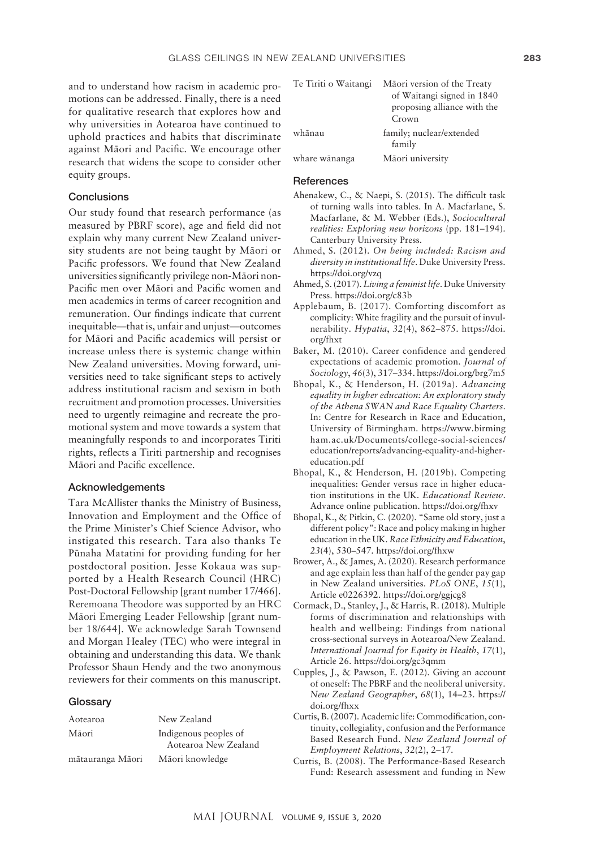and to understand how racism in academic promotions can be addressed. Finally, there is a need for qualitative research that explores how and why universities in Aotearoa have continued to uphold practices and habits that discriminate against Mäori and Pacific. We encourage other research that widens the scope to consider other equity groups.

#### **Conclusions**

Our study found that research performance (as measured by PBRF score), age and field did not explain why many current New Zealand university students are not being taught by Mäori or Pacific professors. We found that New Zealand universities significantly privilege non-Mäori non-Pacific men over Mäori and Pacific women and men academics in terms of career recognition and remuneration. Our findings indicate that current inequitable—that is, unfair and unjust—outcomes for Mäori and Pacific academics will persist or increase unless there is systemic change within New Zealand universities. Moving forward, universities need to take significant steps to actively address institutional racism and sexism in both recruitment and promotion processes. Universities need to urgently reimagine and recreate the promotional system and move towards a system that meaningfully responds to and incorporates Tiriti rights, reflects a Tiriti partnership and recognises Mäori and Pacific excellence.

#### Acknowledgements

Tara McAllister thanks the Ministry of Business, Innovation and Employment and the Office of the Prime Minister's Chief Science Advisor, who instigated this research. Tara also thanks Te Pünaha Matatini for providing funding for her postdoctoral position. Jesse Kokaua was supported by a Health Research Council (HRC) Post-Doctoral Fellowship [grant number 17/466]. Reremoana Theodore was supported by an HRC Mäori Emerging Leader Fellowship [grant number 18/644]. We acknowledge Sarah Townsend and Morgan Healey (TEC) who were integral in obtaining and understanding this data. We thank Professor Shaun Hendy and the two anonymous reviewers for their comments on this manuscript.

#### **Glossary**

| Aotearoa         | New Zealand                                   |
|------------------|-----------------------------------------------|
| Māori            | Indigenous peoples of<br>Aotearoa New Zealand |
| mātauranga Māori | Māori knowledge                               |

| Te Tiriti o Waitangi | Māori version of the Treaty<br>of Waitangi signed in 1840<br>proposing alliance with the<br>Crown |
|----------------------|---------------------------------------------------------------------------------------------------|
| whānau               | family; nuclear/extended<br>family                                                                |
| whare wānanga        | Māori university                                                                                  |

#### **References**

- Ahenakew, C., & Naepi, S. (2015). The difficult task of turning walls into tables. In A. Macfarlane, S. Macfarlane, & M. Webber (Eds.), *Sociocultural realities: Exploring new horizons* (pp. 181–194). Canterbury University Press.
- Ahmed, S. (2012). *On being included: Racism and diversity in institutional life*. Duke University Press. <https://doi.org/vzq>
- Ahmed, S. (2017). *Living a feminist life*. Duke University Press.<https://doi.org/c83b>
- Applebaum, B. (2017). Comforting discomfort as complicity: White fragility and the pursuit of invulnerability. *Hypatia*, *32*(4), 862–875. [https://doi.](https://doi.org/fhxt) [org/fhxt](https://doi.org/fhxt)
- Baker, M. (2010). Career confidence and gendered expectations of academic promotion. *Journal of Sociology*, *46*(3), 317–334.<https://doi.org/brg7m5>
- Bhopal, K., & Henderson, H. (2019a). *Advancing equality in higher education: An exploratory study of the Athena SWAN and Race Equality Charters*. In: Centre for Research in Race and Education, University of Birmingham. [https://www.birming](https://www.birmingham.ac.uk/Documents/college-social-sciences/education/reports/advancing-equality-and-higher-education.pdf) [ham.ac.uk/Documents/college-social-sciences/](https://www.birmingham.ac.uk/Documents/college-social-sciences/education/reports/advancing-equality-and-higher-education.pdf) [education/reports/advancing-equality-and-higher](https://www.birmingham.ac.uk/Documents/college-social-sciences/education/reports/advancing-equality-and-higher-education.pdf)[education.pdf](https://www.birmingham.ac.uk/Documents/college-social-sciences/education/reports/advancing-equality-and-higher-education.pdf)
- Bhopal, K., & Henderson, H. (2019b). Competing inequalities: Gender versus race in higher education institutions in the UK. *Educational Review*. Advance online publication.<https://doi.org/fhxv>
- Bhopal, K., & Pitkin, C. (2020). "Same old story, just a different policy": Race and policy making in higher education in the UK. *Race Ethnicity and Education*, *23*(4), 530–547.<https://doi.org/fhxw>
- Brower, A., & James, A. (2020). Research performance and age explain less than half of the gender pay gap in New Zealand universities. *PLoS ONE*, *15*(1), Article e0226392.<https://doi.org/ggjcg8>
- Cormack, D., Stanley, J., & Harris, R. (2018). Multiple forms of discrimination and relationships with health and wellbeing: Findings from national cross-sectional surveys in Aotearoa/New Zealand. *International Journal for Equity in Health*, *17*(1), Article 26.<https://doi.org/gc3qmm>
- Cupples, J., & Pawson, E. (2012). Giving an account of oneself: The PBRF and the neoliberal university. *New Zealand Geographer*, *68*(1), 14–23. [https://](https://doi.org/fhxx) [doi.org/fhxx](https://doi.org/fhxx)
- Curtis, B. (2007). Academic life: Commodification, continuity, collegiality, confusion and the Performance Based Research Fund. *New Zealand Journal of Employment Relations*, *32*(2), 2–17.
- Curtis, B. (2008). The Performance-Based Research Fund: Research assessment and funding in New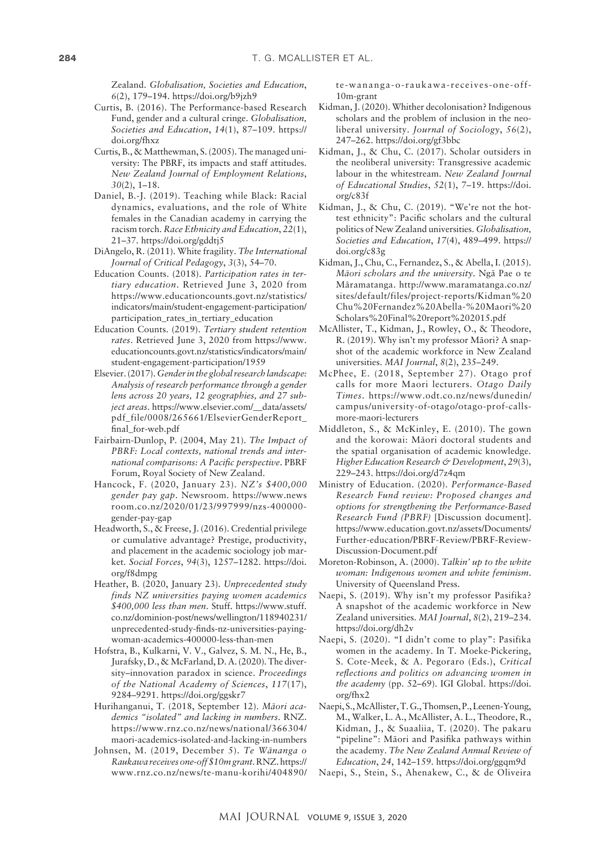Zealand. *Globalisation, Societies and Education*, *6*(2), 179–194.<https://doi.org/b9jzh9>

- Curtis, B. (2016). The Performance-based Research Fund, gender and a cultural cringe. *Globalisation, Societies and Education*, *14*(1), 87–109. [https://](https://doi.org/fhxz) [doi.org/fhxz](https://doi.org/fhxz)
- Curtis, B., & Matthewman, S. (2005). The managed university: The PBRF, its impacts and staff attitudes. *New Zealand Journal of Employment Relations*, *30*(2), 1–18.
- Daniel, B.-J. (2019). Teaching while Black: Racial dynamics, evaluations, and the role of White females in the Canadian academy in carrying the racism torch. *Race Ethnicity and Education*, *22*(1), 21–37.<https://doi.org/gddtj5>
- DiAngelo, R. (2011). White fragility. *The International Journal of Critical Pedagogy*, *3*(3), 54–70.
- Education Counts. (2018). *Participation rates in tertiary education*. Retrieved June 3, 2020 from [https://www.educationcounts.govt.nz/statistics/](https://www.educationcounts.govt.nz/statistics/indicators/main/student-engagement-participation/participation_rates_in_tertiary_education) [indicators/main/student-engagement-participation/](https://www.educationcounts.govt.nz/statistics/indicators/main/student-engagement-participation/participation_rates_in_tertiary_education) [participation\\_rates\\_in\\_tertiary\\_education](https://www.educationcounts.govt.nz/statistics/indicators/main/student-engagement-participation/participation_rates_in_tertiary_education)
- Education Counts. (2019). *Tertiary student retention rates*. Retrieved June 3, 2020 from [https://www.](https://www.educationcounts.govt.nz/statistics/indicators/main/student-engagement-participation/1959) [educationcounts.govt.nz/statistics/indicators/main/](https://www.educationcounts.govt.nz/statistics/indicators/main/student-engagement-participation/1959) [student-engagement-participation/1959](https://www.educationcounts.govt.nz/statistics/indicators/main/student-engagement-participation/1959)
- Elsevier. (2017). *Gender in the global research landscape: Analysis of research performance through a gender lens across 20 years, 12 geographies, and 27 subject areas*. [https://www.elsevier.com/\\_\\_data/assets/](https://www.elsevier.com/__data/assets/pdf_file/0008/265661/ElsevierGenderReport_final_for-web.pdf) [pdf\\_file/0008/265661/ElsevierGenderReport\\_](https://www.elsevier.com/__data/assets/pdf_file/0008/265661/ElsevierGenderReport_final_for-web.pdf) [final\\_for-web.pdf](https://www.elsevier.com/__data/assets/pdf_file/0008/265661/ElsevierGenderReport_final_for-web.pdf)
- Fairbairn-Dunlop, P. (2004, May 21). *The Impact of PBRF: Local contexts, national trends and international comparisons: A Pacific perspective*. PBRF Forum, Royal Society of New Zealand.
- Hancock, F. (2020, January 23). *NZ's \$400,000 gender pay gap*. Newsroom. [https://www.news](https://www.newsroom.co.nz/2020/01/23/997999/nzs-400000-gender-pay-gap) [room.co.nz/2020/01/23/997999/nzs-400000](https://www.newsroom.co.nz/2020/01/23/997999/nzs-400000-gender-pay-gap) [gender-pay-gap](https://www.newsroom.co.nz/2020/01/23/997999/nzs-400000-gender-pay-gap)
- Headworth, S., & Freese, J. (2016). Credential privilege or cumulative advantage? Prestige, productivity, and placement in the academic sociology job market. *Social Forces*, *94*(3), 1257–1282. [https://doi.](https://doi.org/f8dmpg) [org/f8dmpg](https://doi.org/f8dmpg)
- Heather, B. (2020, January 23). *Unprecedented study finds NZ universities paying women academics \$400,000 less than men*. Stuff. [https://www.stuff.](https://www.stuff.co.nz/dominion-post/news/wellington/118940231/unprecedented-study-finds-nz-universities-paying-woman-academics-400000-less-than-men) [co.nz/dominion-post/news/wellington/118940231/](https://www.stuff.co.nz/dominion-post/news/wellington/118940231/unprecedented-study-finds-nz-universities-paying-woman-academics-400000-less-than-men) [unprecedented-study-finds-nz-universities-paying](https://www.stuff.co.nz/dominion-post/news/wellington/118940231/unprecedented-study-finds-nz-universities-paying-woman-academics-400000-less-than-men)[woman-academics-400000-less-than-men](https://www.stuff.co.nz/dominion-post/news/wellington/118940231/unprecedented-study-finds-nz-universities-paying-woman-academics-400000-less-than-men)
- Hofstra, B., Kulkarni, V. V., Galvez, S. M. N., He, B., Jurafsky, D., & McFarland, D. A. (2020). The diversity–innovation paradox in science. *Proceedings of the National Academy of Sciences*, *117*(17), 9284–9291.<https://doi.org/ggskr7>
- Hurihanganui, T. (2018, September 12). *Mäori academics "isolated" and lacking in numbers*. RNZ. [https://www.rnz.co.nz/news/national/366304/](https://www.rnz.co.nz/news/national/366304/maori-academics-isolated-and-lacking-in-numbers) [maori-academics-isolated-and-lacking-in-numbers](https://www.rnz.co.nz/news/national/366304/maori-academics-isolated-and-lacking-in-numbers)
- Johnsen, M. (2019, December 5). *Te Wänanga o Raukawa receives one-off \$10m grant*. RNZ. [https://](https://www.rnz.co.nz/news/te-manu-korihi/404890/te-wananga-o-raukawa-receives-one-off-10m-grant) [www.rnz.co.nz/news/te-manu-korihi/404890/](https://www.rnz.co.nz/news/te-manu-korihi/404890/te-wananga-o-raukawa-receives-one-off-10m-grant)

[te-wananga-o-raukawa-receives-one-off-](https://www.rnz.co.nz/news/te-manu-korihi/404890/te-wananga-o-raukawa-receives-one-off-10m-grant)[10m-grant](https://www.rnz.co.nz/news/te-manu-korihi/404890/te-wananga-o-raukawa-receives-one-off-10m-grant)

- Kidman, J. (2020). Whither decolonisation? Indigenous scholars and the problem of inclusion in the neoliberal university. *Journal of Sociology*, *56*(2), 247–262. <https://doi.org/gf3bbc>
- Kidman, J., & Chu, C. (2017). Scholar outsiders in the neoliberal university: Transgressive academic labour in the whitestream. *New Zealand Journal of Educational Studies*, *52*(1), 7–19. [https://doi.](https://doi.org/c83f) [org/c83f](https://doi.org/c83f)
- Kidman, J., & Chu, C. (2019). "We're not the hottest ethnicity": Pacific scholars and the cultural politics of New Zealand universities. *Globalisation, Societies and Education*, *17*(4), 489–499. [https://](https://doi.org/c83g) [doi.org/c83g](https://doi.org/c83g)
- Kidman, J., Chu, C., Fernandez, S., & Abella, I. (2015). *Mäori scholars and the university*. Ngä Pae o te Märamatanga. [http://www.maramatanga.co.nz/](http://www.maramatanga.co.nz/sites/default/files/project-reports/Kidman%20Chu%20Fernandez%20Abella-%20Maori%20Scholars%20Final%20report%202015.pdf) [sites/default/files/project-reports/Kidman%20](http://www.maramatanga.co.nz/sites/default/files/project-reports/Kidman%20Chu%20Fernandez%20Abella-%20Maori%20Scholars%20Final%20report%202015.pdf) [Chu%20Fernandez%20Abella-%20Maori%20](http://www.maramatanga.co.nz/sites/default/files/project-reports/Kidman%20Chu%20Fernandez%20Abella-%20Maori%20Scholars%20Final%20report%202015.pdf) [Scholars%20Final%20report%202015.pdf](http://www.maramatanga.co.nz/sites/default/files/project-reports/Kidman%20Chu%20Fernandez%20Abella-%20Maori%20Scholars%20Final%20report%202015.pdf)
- McAllister, T., Kidman, J., Rowley, O., & Theodore, R. (2019). Why isn't my professor Mäori? A snapshot of the academic workforce in New Zealand universities. *MAI Journal*, *8*(2), 235–249.
- McPhee, E. (2018, September 27). Otago prof calls for more Maori lecturers. *Otago Daily Times*. [https://www.odt.co.nz/news/dunedin/](https://www.odt.co.nz/news/dunedin/campus/university-of-otago/otago-prof-calls-more-maori-lecturers) [campus/university-of-otago/otago-prof-calls](https://www.odt.co.nz/news/dunedin/campus/university-of-otago/otago-prof-calls-more-maori-lecturers)[more-maori-lecturers](https://www.odt.co.nz/news/dunedin/campus/university-of-otago/otago-prof-calls-more-maori-lecturers)
- Middleton, S., & McKinley, E. (2010). The gown and the korowai: Mäori doctoral students and the spatial organisation of academic knowledge. *Higher Education Research & Development*, *29*(3), 229–243. <https://doi.org/d7z4qm>
- Ministry of Education. (2020). *Performance-Based Research Fund review: Proposed changes and options for strengthening the Performance-Based Research Fund (PBRF)* [Discussion document]. [https://www.education.govt.nz/assets/Documents/](https://www.education.govt.nz/assets/Documents/Further-education/PBRF-Review/PBRF-Review-Discussion-Document.pdf) [Further-education/PBRF-Review/PBRF-Review-](https://www.education.govt.nz/assets/Documents/Further-education/PBRF-Review/PBRF-Review-Discussion-Document.pdf)[Discussion-Document.pdf](https://www.education.govt.nz/assets/Documents/Further-education/PBRF-Review/PBRF-Review-Discussion-Document.pdf)
- Moreton-Robinson, A. (2000). *Talkin' up to the white woman: Indigenous women and white feminism*. University of Queensland Press.
- Naepi, S. (2019). Why isn't my professor Pasifika? A snapshot of the academic workforce in New Zealand universities. *MAI Journal*, *8*(2), 219–234. <https://doi.org/dh2v>
- Naepi, S. (2020). "I didn't come to play": Pasifika women in the academy. In T. Moeke-Pickering, S. Cote-Meek, & A. Pegoraro (Eds.), *Critical reflections and politics on advancing women in the academy* (pp. 52–69). IGI Global. [https://doi.](https://doi.org/fhx2) [org/fhx2](https://doi.org/fhx2)
- Naepi, S., McAllister, T. G., Thomsen, P., Leenen-Young, M., Walker, L. A., McAllister, A. L., Theodore, R., Kidman, J., & Suaaliia, T. (2020). The pakaru "pipeline": Mäori and Pasifika pathways within the academy. *The New Zealand Annual Review of Education*, *24*, 142–159. <https://doi.org/ggqm9d>
- Naepi, S., Stein, S., Ahenakew, C., & de Oliveira